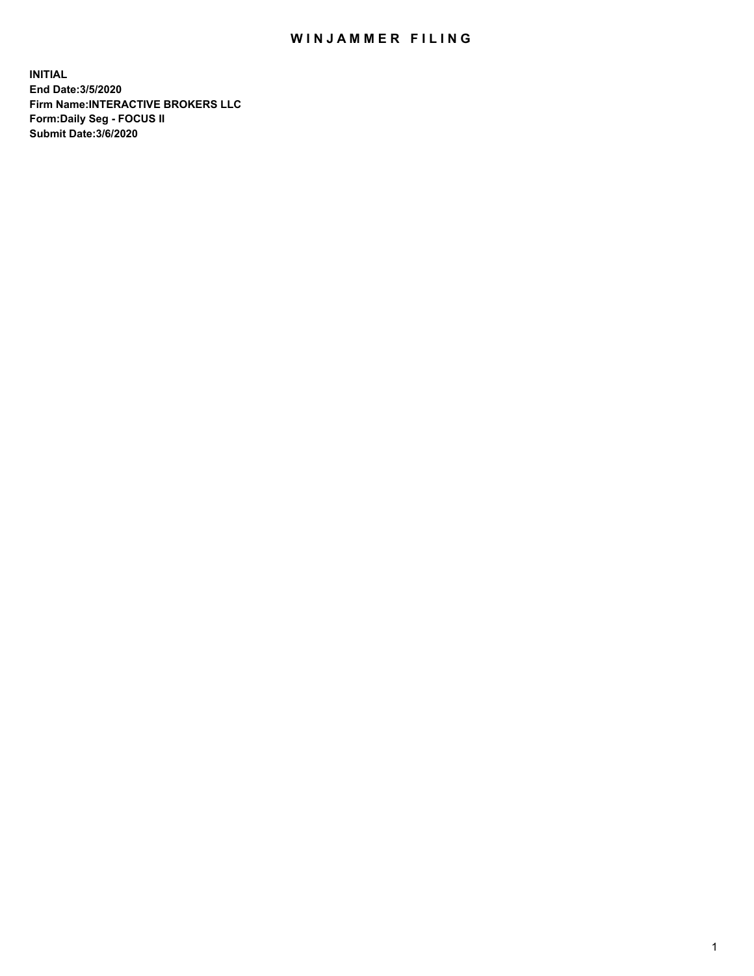## WIN JAMMER FILING

**INITIAL End Date:3/5/2020 Firm Name:INTERACTIVE BROKERS LLC Form:Daily Seg - FOCUS II Submit Date:3/6/2020**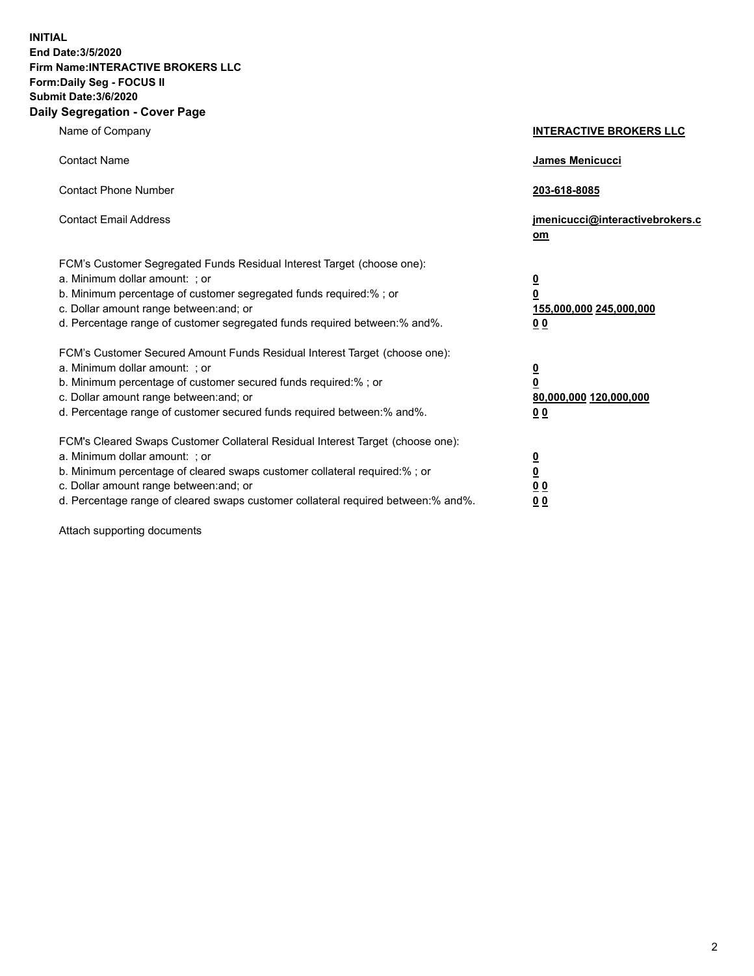**INITIAL End Date:3/5/2020 Firm Name:INTERACTIVE BROKERS LLC Form:Daily Seg - FOCUS II Submit Date:3/6/2020 Daily Segregation - Cover Page**

| Name of Company                                                                                                                                                                                                                                                                                                                | <b>INTERACTIVE BROKERS LLC</b>                                                                  |
|--------------------------------------------------------------------------------------------------------------------------------------------------------------------------------------------------------------------------------------------------------------------------------------------------------------------------------|-------------------------------------------------------------------------------------------------|
| <b>Contact Name</b>                                                                                                                                                                                                                                                                                                            | James Menicucci                                                                                 |
| <b>Contact Phone Number</b>                                                                                                                                                                                                                                                                                                    | 203-618-8085                                                                                    |
| <b>Contact Email Address</b>                                                                                                                                                                                                                                                                                                   | jmenicucci@interactivebrokers.c<br>om                                                           |
| FCM's Customer Segregated Funds Residual Interest Target (choose one):<br>a. Minimum dollar amount: : or<br>b. Minimum percentage of customer segregated funds required:% ; or<br>c. Dollar amount range between: and; or<br>d. Percentage range of customer segregated funds required between:% and%.                         | $\overline{\mathbf{0}}$<br>$\overline{\mathbf{0}}$<br>155,000,000 245,000,000<br>0 <sub>0</sub> |
| FCM's Customer Secured Amount Funds Residual Interest Target (choose one):<br>a. Minimum dollar amount: ; or<br>b. Minimum percentage of customer secured funds required:% ; or<br>c. Dollar amount range between: and; or<br>d. Percentage range of customer secured funds required between:% and%.                           | $\frac{0}{0}$<br>80,000,000 120,000,000<br>00                                                   |
| FCM's Cleared Swaps Customer Collateral Residual Interest Target (choose one):<br>a. Minimum dollar amount: ; or<br>b. Minimum percentage of cleared swaps customer collateral required:% ; or<br>c. Dollar amount range between: and; or<br>d. Percentage range of cleared swaps customer collateral required between:% and%. | $\overline{\mathbf{0}}$<br>$\underline{\mathbf{0}}$<br>0 <sub>0</sub><br>0 <sub>0</sub>         |

Attach supporting documents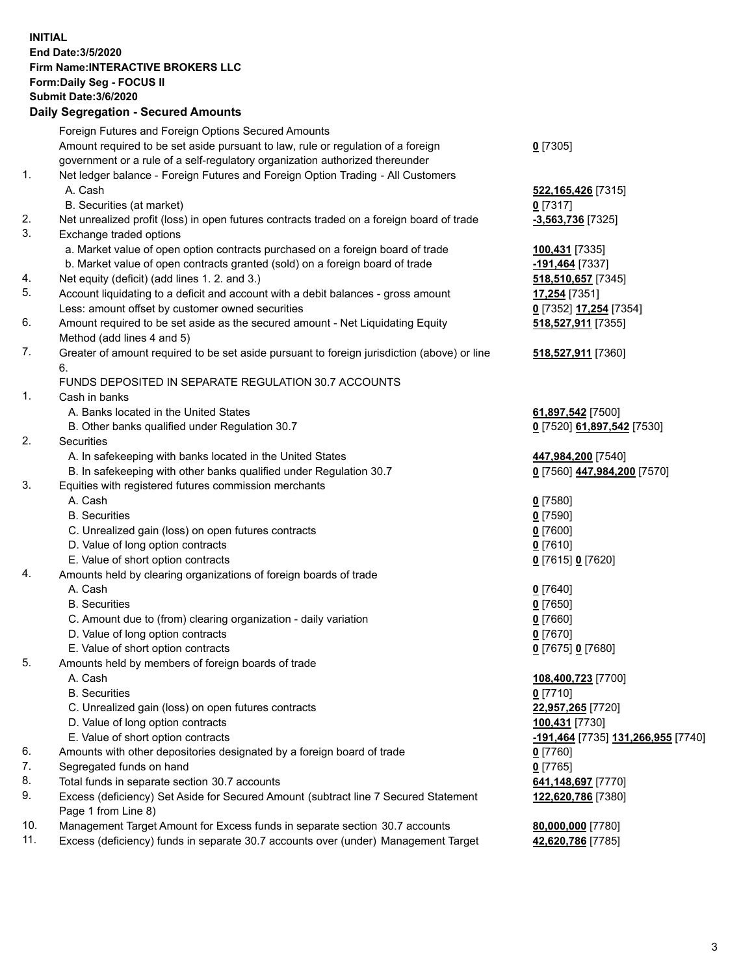## **INITIAL End Date:3/5/2020 Firm Name:INTERACTIVE BROKERS LLC Form:Daily Seg - FOCUS II Submit Date:3/6/2020 Daily Segregation - Secured Amounts**

|     | Daily Jegregation - Jeculed Aniounts                                                                       |                                    |
|-----|------------------------------------------------------------------------------------------------------------|------------------------------------|
|     | Foreign Futures and Foreign Options Secured Amounts                                                        |                                    |
|     | Amount required to be set aside pursuant to law, rule or regulation of a foreign                           | $0$ [7305]                         |
|     | government or a rule of a self-regulatory organization authorized thereunder                               |                                    |
| 1.  | Net ledger balance - Foreign Futures and Foreign Option Trading - All Customers                            |                                    |
|     | A. Cash                                                                                                    | 522, 165, 426 [7315]               |
|     | B. Securities (at market)                                                                                  | $0$ [7317]                         |
| 2.  | Net unrealized profit (loss) in open futures contracts traded on a foreign board of trade                  | -3,563,736 [7325]                  |
| 3.  | Exchange traded options                                                                                    |                                    |
|     | a. Market value of open option contracts purchased on a foreign board of trade                             | 100,431 [7335]                     |
|     | b. Market value of open contracts granted (sold) on a foreign board of trade                               | -191,464 [7337]                    |
| 4.  | Net equity (deficit) (add lines 1. 2. and 3.)                                                              | 518,510,657 [7345]                 |
| 5.  | Account liquidating to a deficit and account with a debit balances - gross amount                          | 17,254 [7351]                      |
|     | Less: amount offset by customer owned securities                                                           | 0 [7352] 17,254 [7354]             |
| 6.  | Amount required to be set aside as the secured amount - Net Liquidating Equity                             | 518,527,911 [7355]                 |
|     | Method (add lines 4 and 5)                                                                                 |                                    |
| 7.  | Greater of amount required to be set aside pursuant to foreign jurisdiction (above) or line                | 518,527,911 [7360]                 |
|     | 6.                                                                                                         |                                    |
|     | FUNDS DEPOSITED IN SEPARATE REGULATION 30.7 ACCOUNTS                                                       |                                    |
| 1.  | Cash in banks                                                                                              |                                    |
|     | A. Banks located in the United States                                                                      | 61,897,542 [7500]                  |
|     | B. Other banks qualified under Regulation 30.7                                                             | 0 [7520] 61,897,542 [7530]         |
| 2.  | Securities                                                                                                 |                                    |
|     | A. In safekeeping with banks located in the United States                                                  | 447,984,200 [7540]                 |
|     | B. In safekeeping with other banks qualified under Regulation 30.7                                         | 0 [7560] 447,984,200 [7570]        |
| 3.  | Equities with registered futures commission merchants                                                      |                                    |
|     | A. Cash                                                                                                    | $0$ [7580]                         |
|     | <b>B.</b> Securities                                                                                       | $0$ [7590]                         |
|     | C. Unrealized gain (loss) on open futures contracts                                                        | $0$ [7600]                         |
|     | D. Value of long option contracts                                                                          | $0$ [7610]                         |
|     | E. Value of short option contracts                                                                         | 0 [7615] 0 [7620]                  |
| 4.  | Amounts held by clearing organizations of foreign boards of trade                                          |                                    |
|     | A. Cash                                                                                                    | $Q$ [7640]                         |
|     | <b>B.</b> Securities                                                                                       | $0$ [7650]                         |
|     | C. Amount due to (from) clearing organization - daily variation                                            | $0$ [7660]                         |
|     | D. Value of long option contracts                                                                          | $0$ [7670]                         |
|     | E. Value of short option contracts                                                                         | 0 [7675] 0 [7680]                  |
| 5.  | Amounts held by members of foreign boards of trade                                                         |                                    |
|     | A. Cash                                                                                                    | 108,400,723 [7700]                 |
|     | <b>B.</b> Securities                                                                                       | $0$ [7710]                         |
|     | C. Unrealized gain (loss) on open futures contracts                                                        | 22,957,265 [7720]                  |
|     | D. Value of long option contracts                                                                          | 100,431 [7730]                     |
|     | E. Value of short option contracts                                                                         | -191,464 [7735] 131,266,955 [7740] |
| 6.  | Amounts with other depositories designated by a foreign board of trade                                     | 0 [7760]                           |
| 7.  | Segregated funds on hand                                                                                   | $0$ [7765]                         |
| 8.  | Total funds in separate section 30.7 accounts                                                              | 641,148,697 [7770]                 |
| 9.  | Excess (deficiency) Set Aside for Secured Amount (subtract line 7 Secured Statement<br>Page 1 from Line 8) | 122,620,786 [7380]                 |
| 10. | Management Target Amount for Excess funds in separate section 30.7 accounts                                | 80,000,000 [7780]                  |
| 11. | Excess (deficiency) funds in separate 30.7 accounts over (under) Management Target                         | 42,620,786 [7785]                  |
|     |                                                                                                            |                                    |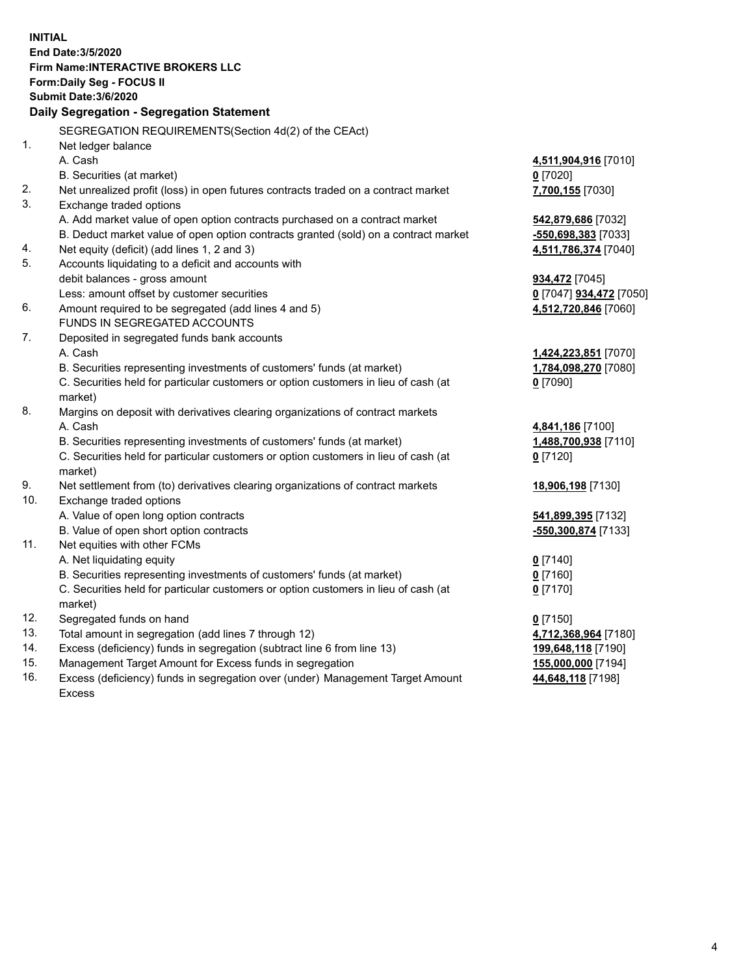**INITIAL End Date:3/5/2020 Firm Name:INTERACTIVE BROKERS LLC Form:Daily Seg - FOCUS II Submit Date:3/6/2020 Daily Segregation - Segregation Statement** SEGREGATION REQUIREMENTS(Section 4d(2) of the CEAct) 1. Net ledger balance A. Cash **4,511,904,916** [7010] B. Securities (at market) **0** [7020] 2. Net unrealized profit (loss) in open futures contracts traded on a contract market **7,700,155** [7030] 3. Exchange traded options A. Add market value of open option contracts purchased on a contract market **542,879,686** [7032] B. Deduct market value of open option contracts granted (sold) on a contract market **-550,698,383** [7033] 4. Net equity (deficit) (add lines 1, 2 and 3) **4,511,786,374** [7040] 5. Accounts liquidating to a deficit and accounts with debit balances - gross amount **934,472** [7045] Less: amount offset by customer securities **0** [7047] **934,472** [7050] 6. Amount required to be segregated (add lines 4 and 5) **4,512,720,846** [7060] FUNDS IN SEGREGATED ACCOUNTS 7. Deposited in segregated funds bank accounts A. Cash **1,424,223,851** [7070] B. Securities representing investments of customers' funds (at market) **1,784,098,270** [7080] C. Securities held for particular customers or option customers in lieu of cash (at market) **0** [7090] 8. Margins on deposit with derivatives clearing organizations of contract markets A. Cash **4,841,186** [7100] B. Securities representing investments of customers' funds (at market) **1,488,700,938** [7110] C. Securities held for particular customers or option customers in lieu of cash (at market) **0** [7120] 9. Net settlement from (to) derivatives clearing organizations of contract markets **18,906,198** [7130] 10. Exchange traded options A. Value of open long option contracts **541,899,395** [7132] B. Value of open short option contracts **-550,300,874** [7133] 11. Net equities with other FCMs A. Net liquidating equity **0** [7140] B. Securities representing investments of customers' funds (at market) **0** [7160] C. Securities held for particular customers or option customers in lieu of cash (at market) **0** [7170] 12. Segregated funds on hand **0** [7150] 13. Total amount in segregation (add lines 7 through 12) **4,712,368,964** [7180] 14. Excess (deficiency) funds in segregation (subtract line 6 from line 13) **199,648,118** [7190] 15. Management Target Amount for Excess funds in segregation **155,000,000** [7194] 16. Excess (deficiency) funds in segregation over (under) Management Target Amount **44,648,118** [7198]

Excess